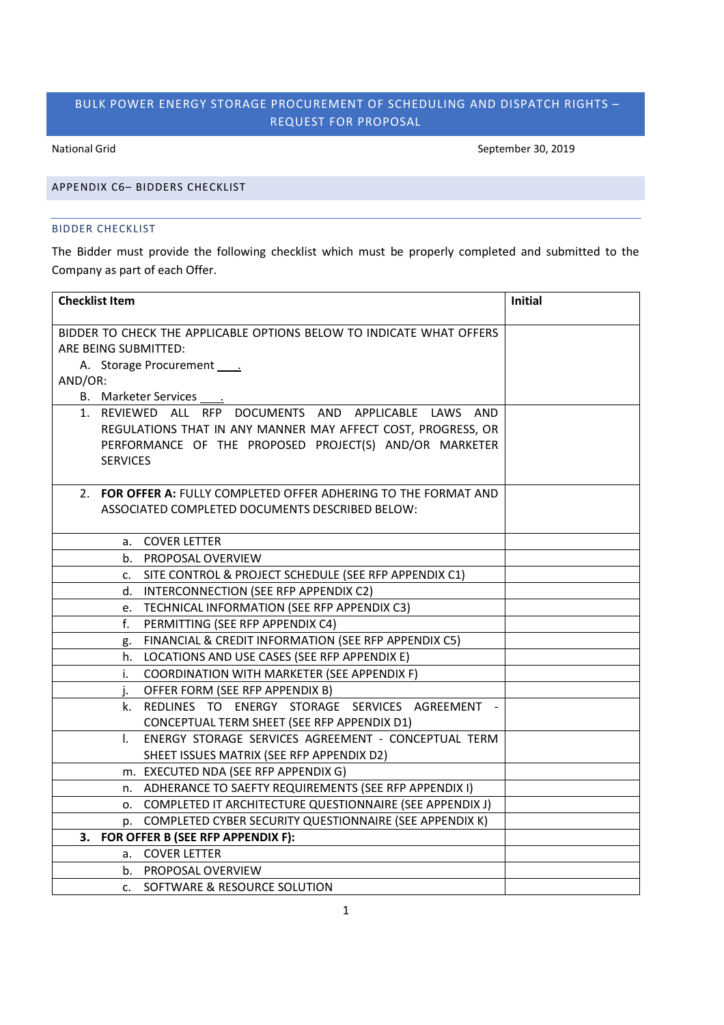# BULK POWER ENERGY STORAGE PROCUREMENT OF SCHEDULING AND DISPATCH RIGHTS – REQUEST FOR PROPOSAL

National Grid September 30, 2019

## APPENDIX C6– BIDDERS CHECKLIST

### BIDDER CHECKLIST

The Bidder must provide the following checklist which must be properly completed and submitted to the Company as part of each Offer.

| <b>Checklist Item</b>                                                | <b>Initial</b> |
|----------------------------------------------------------------------|----------------|
| BIDDER TO CHECK THE APPLICABLE OPTIONS BELOW TO INDICATE WHAT OFFERS |                |
| ARE BEING SUBMITTED:                                                 |                |
| A. Storage Procurement _____                                         |                |
| AND/OR:                                                              |                |
| B. Marketer Services .                                               |                |
| 1. REVIEWED ALL RFP DOCUMENTS AND APPLICABLE LAWS AND                |                |
| REGULATIONS THAT IN ANY MANNER MAY AFFECT COST, PROGRESS, OR         |                |
| PERFORMANCE OF THE PROPOSED PROJECT(S) AND/OR MARKETER               |                |
| <b>SERVICES</b>                                                      |                |
|                                                                      |                |
| 2. FOR OFFER A: FULLY COMPLETED OFFER ADHERING TO THE FORMAT AND     |                |
| ASSOCIATED COMPLETED DOCUMENTS DESCRIBED BELOW:                      |                |
|                                                                      |                |
| a. COVER LETTER                                                      |                |
| b. PROPOSAL OVERVIEW                                                 |                |
| c. SITE CONTROL & PROJECT SCHEDULE (SEE RFP APPENDIX C1)             |                |
| d. INTERCONNECTION (SEE RFP APPENDIX C2)                             |                |
| e. TECHNICAL INFORMATION (SEE RFP APPENDIX C3)                       |                |
| f.<br>PERMITTING (SEE RFP APPENDIX C4)                               |                |
| FINANCIAL & CREDIT INFORMATION (SEE RFP APPENDIX C5)<br>g.           |                |
| h. LOCATIONS AND USE CASES (SEE RFP APPENDIX E)                      |                |
| COORDINATION WITH MARKETER (SEE APPENDIX F)<br>i.                    |                |
| j. OFFER FORM (SEE RFP APPENDIX B)                                   |                |
| k. REDLINES TO ENERGY STORAGE SERVICES AGREEMENT -                   |                |
| CONCEPTUAL TERM SHEET (SEE RFP APPENDIX D1)                          |                |
| ENERGY STORAGE SERVICES AGREEMENT - CONCEPTUAL TERM<br>L.            |                |
| SHEET ISSUES MATRIX (SEE RFP APPENDIX D2)                            |                |
| m. EXECUTED NDA (SEE RFP APPENDIX G)                                 |                |
| n. ADHERANCE TO SAEFTY REQUIREMENTS (SEE RFP APPENDIX I)             |                |
| 0. COMPLETED IT ARCHITECTURE QUESTIONNAIRE (SEE APPENDIX J)          |                |
| p. COMPLETED CYBER SECURITY QUESTIONNAIRE (SEE APPENDIX K)           |                |
| 3. FOR OFFER B (SEE RFP APPENDIX F):                                 |                |
| a. COVER LETTER                                                      |                |
| b. PROPOSAL OVERVIEW                                                 |                |
| c. SOFTWARE & RESOURCE SOLUTION                                      |                |